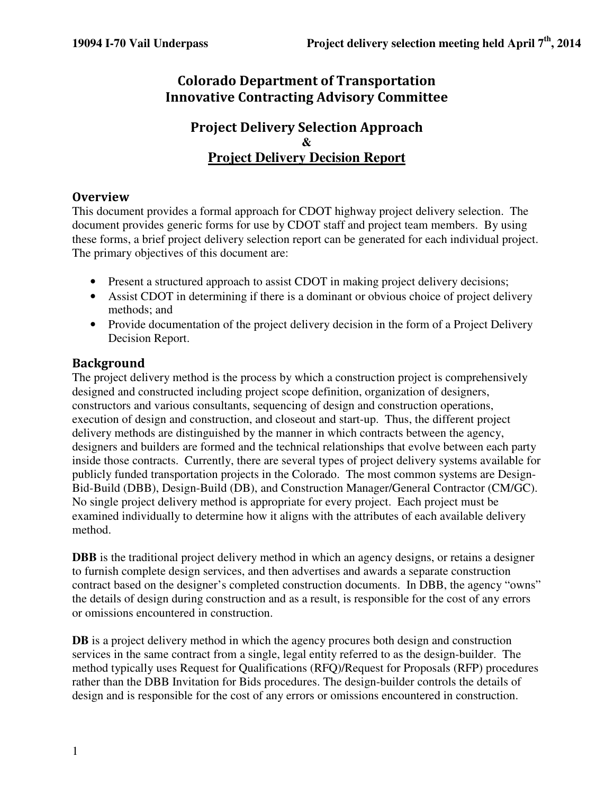# Colorado Department of Transportation Innovative Contracting Advisory Committee

#### Project Delivery Selection Approach **& Project Delivery Decision Report**

#### **Overview**

This document provides a formal approach for CDOT highway project delivery selection. The document provides generic forms for use by CDOT staff and project team members. By using these forms, a brief project delivery selection report can be generated for each individual project. The primary objectives of this document are:

- Present a structured approach to assist CDOT in making project delivery decisions;
- Assist CDOT in determining if there is a dominant or obvious choice of project delivery methods; and
- Provide documentation of the project delivery decision in the form of a Project Delivery Decision Report.

#### Background

The project delivery method is the process by which a construction project is comprehensively designed and constructed including project scope definition, organization of designers, constructors and various consultants, sequencing of design and construction operations, execution of design and construction, and closeout and start-up. Thus, the different project delivery methods are distinguished by the manner in which contracts between the agency, designers and builders are formed and the technical relationships that evolve between each party inside those contracts. Currently, there are several types of project delivery systems available for publicly funded transportation projects in the Colorado. The most common systems are Design-Bid-Build (DBB), Design-Build (DB), and Construction Manager/General Contractor (CM/GC). No single project delivery method is appropriate for every project. Each project must be examined individually to determine how it aligns with the attributes of each available delivery method.

**DBB** is the traditional project delivery method in which an agency designs, or retains a designer to furnish complete design services, and then advertises and awards a separate construction contract based on the designer's completed construction documents. In DBB, the agency "owns" the details of design during construction and as a result, is responsible for the cost of any errors or omissions encountered in construction.

**DB** is a project delivery method in which the agency procures both design and construction services in the same contract from a single, legal entity referred to as the design-builder. The method typically uses Request for Qualifications (RFQ)/Request for Proposals (RFP) procedures rather than the DBB Invitation for Bids procedures. The design-builder controls the details of design and is responsible for the cost of any errors or omissions encountered in construction.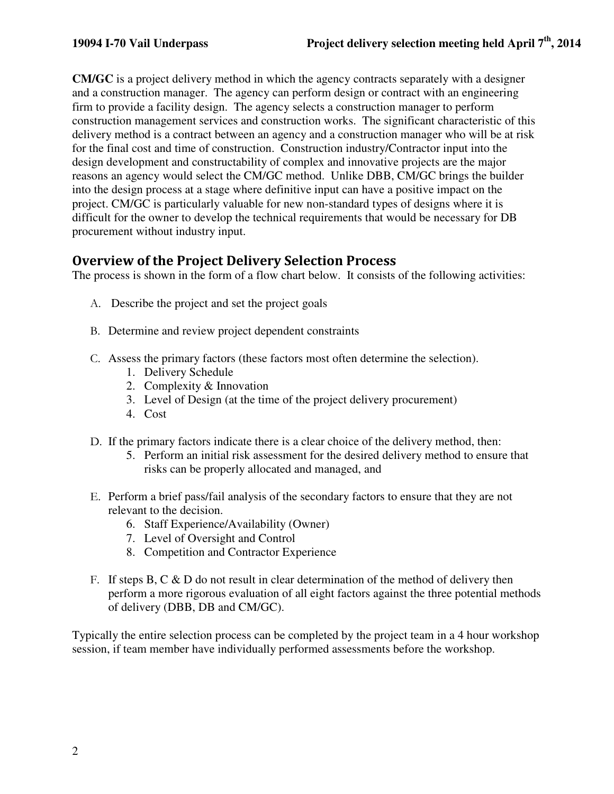**CM/GC** is a project delivery method in which the agency contracts separately with a designer and a construction manager. The agency can perform design or contract with an engineering firm to provide a facility design. The agency selects a construction manager to perform construction management services and construction works. The significant characteristic of this delivery method is a contract between an agency and a construction manager who will be at risk for the final cost and time of construction. Construction industry/Contractor input into the design development and constructability of complex and innovative projects are the major reasons an agency would select the CM/GC method. Unlike DBB, CM/GC brings the builder into the design process at a stage where definitive input can have a positive impact on the project. CM/GC is particularly valuable for new non-standard types of designs where it is difficult for the owner to develop the technical requirements that would be necessary for DB procurement without industry input.

# Overview of the Project Delivery Selection Process

The process is shown in the form of a flow chart below. It consists of the following activities:

- A. Describe the project and set the project goals
- B. Determine and review project dependent constraints
- C. Assess the primary factors (these factors most often determine the selection).
	- 1. Delivery Schedule
	- 2. Complexity & Innovation
	- 3. Level of Design (at the time of the project delivery procurement)
	- 4. Cost
- D. If the primary factors indicate there is a clear choice of the delivery method, then:
	- 5. Perform an initial risk assessment for the desired delivery method to ensure that risks can be properly allocated and managed, and
- E. Perform a brief pass/fail analysis of the secondary factors to ensure that they are not relevant to the decision.
	- 6. Staff Experience/Availability (Owner)
	- 7. Level of Oversight and Control
	- 8. Competition and Contractor Experience
- F. If steps  $B, C \& D$  do not result in clear determination of the method of delivery then perform a more rigorous evaluation of all eight factors against the three potential methods of delivery (DBB, DB and CM/GC).

Typically the entire selection process can be completed by the project team in a 4 hour workshop session, if team member have individually performed assessments before the workshop.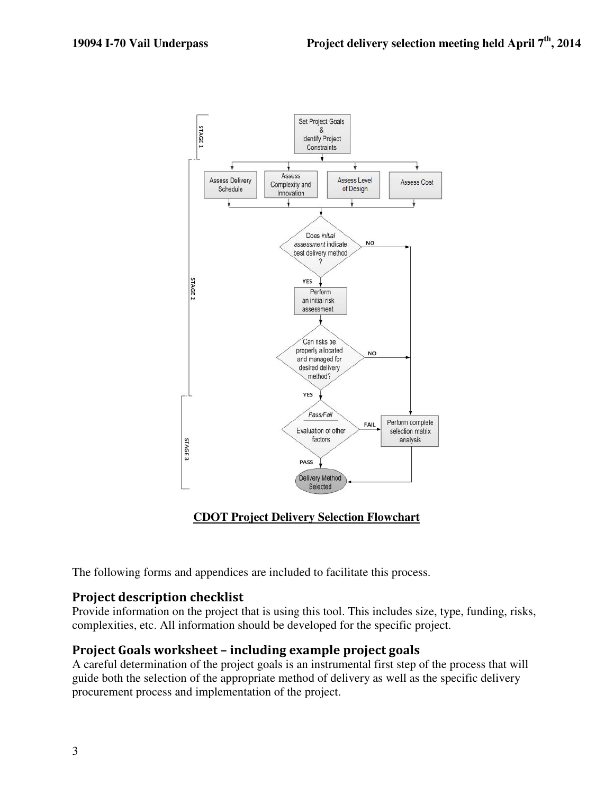

#### **CDOT Project Delivery Selection Flowchart**

The following forms and appendices are included to facilitate this process.

#### Project description checklist

Provide information on the project that is using this tool. This includes size, type, funding, risks, complexities, etc. All information should be developed for the specific project.

#### Project Goals worksheet – including example project goals

A careful determination of the project goals is an instrumental first step of the process that will guide both the selection of the appropriate method of delivery as well as the specific delivery procurement process and implementation of the project.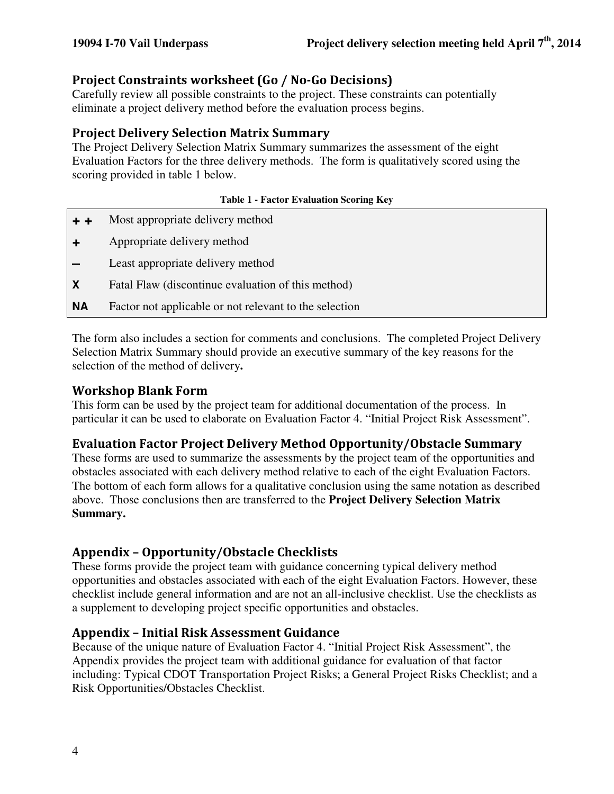#### Project Constraints worksheet (Go / No-Go Decisions)

Carefully review all possible constraints to the project. These constraints can potentially eliminate a project delivery method before the evaluation process begins.

#### Project Delivery Selection Matrix Summary

The Project Delivery Selection Matrix Summary summarizes the assessment of the eight Evaluation Factors for the three delivery methods. The form is qualitatively scored using the scoring provided in table 1 below.

#### **Table 1 - Factor Evaluation Scoring Key**

**+ +** Most appropriate delivery method **+** Appropriate delivery method **–** Least appropriate delivery method **X** Fatal Flaw (discontinue evaluation of this method) **NA** Factor not applicable or not relevant to the selection

The form also includes a section for comments and conclusions.The completed Project Delivery Selection Matrix Summary should provide an executive summary of the key reasons for the selection of the method of delivery**.** 

#### Workshop Blank Form

This form can be used by the project team for additional documentation of the process. In particular it can be used to elaborate on Evaluation Factor 4. "Initial Project Risk Assessment".

#### Evaluation Factor Project Delivery Method Opportunity/Obstacle Summary

These forms are used to summarize the assessments by the project team of the opportunities and obstacles associated with each delivery method relative to each of the eight Evaluation Factors. The bottom of each form allows for a qualitative conclusion using the same notation as described above. Those conclusions then are transferred to the **Project Delivery Selection Matrix Summary.** 

#### Appendix – Opportunity/Obstacle Checklists

These forms provide the project team with guidance concerning typical delivery method opportunities and obstacles associated with each of the eight Evaluation Factors. However, these checklist include general information and are not an all-inclusive checklist. Use the checklists as a supplement to developing project specific opportunities and obstacles.

#### Appendix – Initial Risk Assessment Guidance

Because of the unique nature of Evaluation Factor 4. "Initial Project Risk Assessment", the Appendix provides the project team with additional guidance for evaluation of that factor including: Typical CDOT Transportation Project Risks; a General Project Risks Checklist; and a Risk Opportunities/Obstacles Checklist.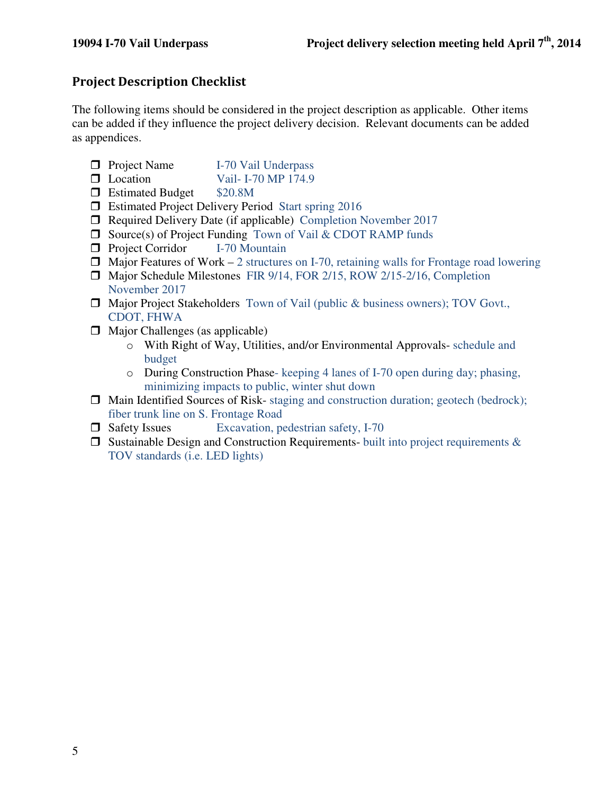# Project Description Checklist

The following items should be considered in the project description as applicable. Other items can be added if they influence the project delivery decision. Relevant documents can be added as appendices.

- **Project Name** I-70 Vail Underpass
- D Location Vail- I-70 MP 174.9
- **Extimated Budget \$20.8M**
- □ Estimated Project Delivery Period Start spring 2016
- □ Required Delivery Date (if applicable) Completion November 2017
- $\Box$  Source(s) of Project Funding Town of Vail & CDOT RAMP funds
- **Project Corridor** I-70 Mountain
- $\Box$  Major Features of Work 2 structures on I-70, retaining walls for Frontage road lowering
- Major Schedule Milestones FIR 9/14, FOR 2/15, ROW 2/15-2/16, Completion November 2017
- □ Major Project Stakeholders Town of Vail (public & business owners); TOV Govt., CDOT, FHWA
- $\Box$  Major Challenges (as applicable)
	- o With Right of Way, Utilities, and/or Environmental Approvals- schedule and budget
	- o During Construction Phase- keeping 4 lanes of I-70 open during day; phasing, minimizing impacts to public, winter shut down
- $\Box$  Main Identified Sources of Risk- staging and construction duration; geotech (bedrock); fiber trunk line on S. Frontage Road
- $\Box$  Safety Issues Excavation, pedestrian safety, I-70
- $\Box$  Sustainable Design and Construction Requirements- built into project requirements  $\&$ TOV standards (i.e. LED lights)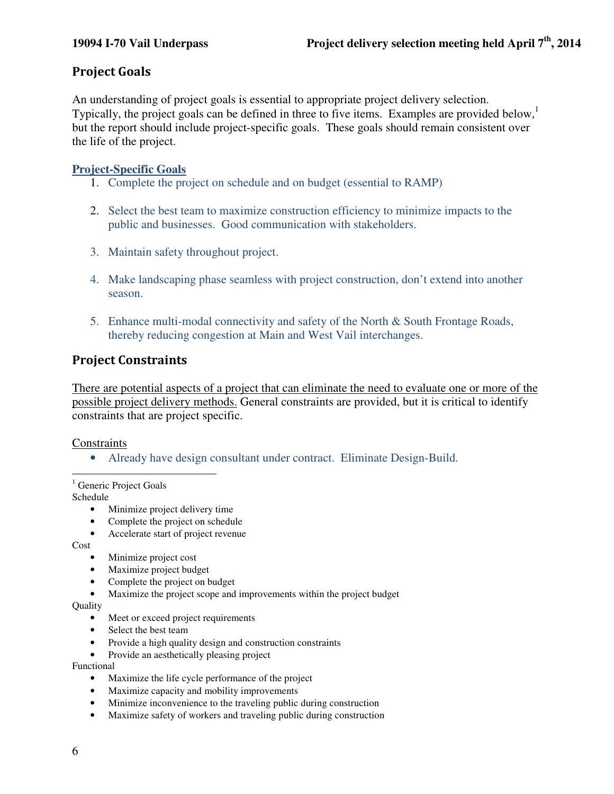### Project Goals

An understanding of project goals is essential to appropriate project delivery selection. Typically, the project goals can be defined in three to five items. Examples are provided below, but the report should include project-specific goals. These goals should remain consistent over the life of the project.

#### **Project-Specific Goals**

- 1. Complete the project on schedule and on budget (essential to RAMP)
- 2. Select the best team to maximize construction efficiency to minimize impacts to the public and businesses. Good communication with stakeholders.
- 3. Maintain safety throughout project.
- 4. Make landscaping phase seamless with project construction, don't extend into another season.
- 5. Enhance multi-modal connectivity and safety of the North & South Frontage Roads, thereby reducing congestion at Main and West Vail interchanges.

#### Project Constraints

There are potential aspects of a project that can eliminate the need to evaluate one or more of the possible project delivery methods. General constraints are provided, but it is critical to identify constraints that are project specific.

#### **Constraints**

• Already have design consultant under contract. Eliminate Design-Build.

-<sup>1</sup> Generic Project Goals

Schedule

- Minimize project delivery time
- Complete the project on schedule
- Accelerate start of project revenue

Cost

- Minimize project cost
- Maximize project budget
- Complete the project on budget
- Maximize the project scope and improvements within the project budget

Quality

- Meet or exceed project requirements
- Select the best team
- Provide a high quality design and construction constraints
- Provide an aesthetically pleasing project

Functional

- Maximize the life cycle performance of the project
- Maximize capacity and mobility improvements
- Minimize inconvenience to the traveling public during construction
- Maximize safety of workers and traveling public during construction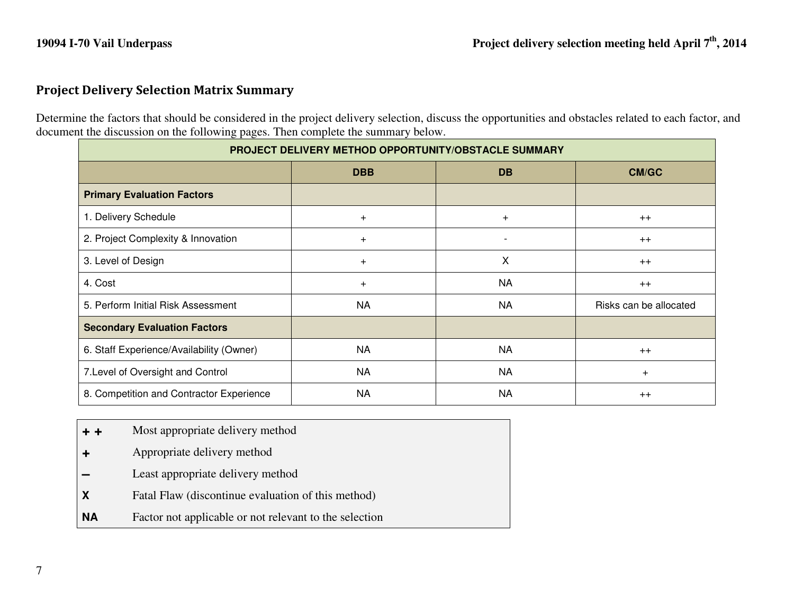### Project Delivery Selection Matrix Summary

Determine the factors that should be considered in the project delivery selection, discuss the opportunities and obstacles related to each factor, and document the discussion on the following pages. Then complete the summary below.

| PROJECT DELIVERY METHOD OPPORTUNITY/OBSTACLE SUMMARY |            |           |                        |
|------------------------------------------------------|------------|-----------|------------------------|
|                                                      | <b>DBB</b> | <b>DB</b> | CM/GC                  |
| <b>Primary Evaluation Factors</b>                    |            |           |                        |
| 1. Delivery Schedule                                 | $\ddot{}$  | $\div$    | $++$                   |
| 2. Project Complexity & Innovation                   | $+$        |           | $++$                   |
| 3. Level of Design                                   | $+$        | X         | $++$                   |
| 4. Cost                                              | $\ddot{}$  | <b>NA</b> | $++$                   |
| 5. Perform Initial Risk Assessment                   | <b>NA</b>  | NA        | Risks can be allocated |
| <b>Secondary Evaluation Factors</b>                  |            |           |                        |
| 6. Staff Experience/Availability (Owner)             | <b>NA</b>  | <b>NA</b> | $++$                   |
| 7. Level of Oversight and Control                    | <b>NA</b>  | <b>NA</b> | $\ddot{}$              |
| 8. Competition and Contractor Experience             | <b>NA</b>  | <b>NA</b> | $++$                   |

- **+ +**Most appropriate delivery method
- **+** Appropriate delivery method
- **–**Least appropriate delivery method
- **X** Fatal Flaw (discontinue evaluation of this method)
- **NA**Factor not applicable or not relevant to the selection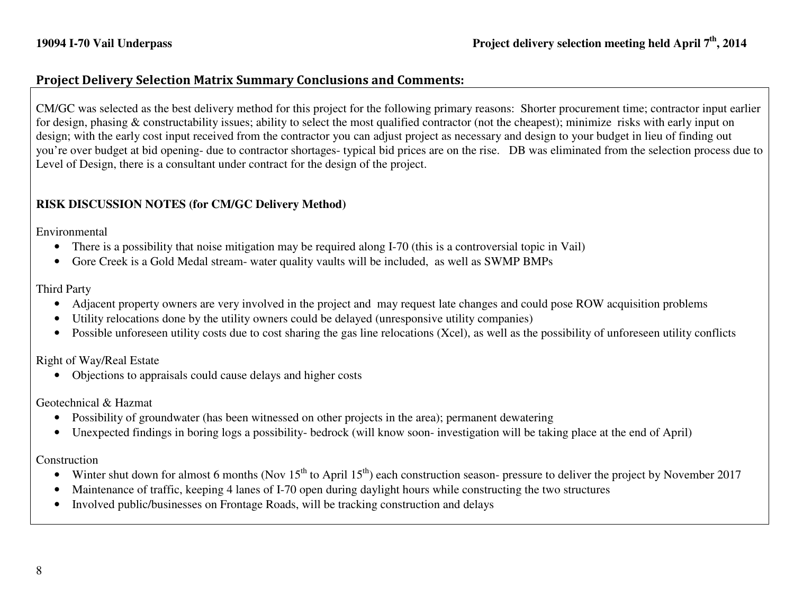#### Project Delivery Selection Matrix Summary Conclusions and Comments:

CM/GC was selected as the best delivery method for this project for the following primary reasons: Shorter procurement time; contractor input earlier for design, phasing & constructability issues; ability to select the most qualified contractor (not the cheapest); minimize risks with early input on design; with the early cost input received from the contractor you can adjust project as necessary and design to your budget in lieu of finding out you're over budget at bid opening- due to contractor shortages- typical bid prices are on the rise. DB was eliminated from the selection process due to Level of Design, there is a consultant under contract for the design of the project.

#### **RISK DISCUSSION NOTES (for CM/GC Delivery Method)**

Environmental

- There is a possibility that noise mitigation may be required along I-70 (this is a controversial topic in Vail)
- Gore Creek is a Gold Medal stream- water quality vaults will be included, as well as SWMP BMPs

Third Party

- Adjacent property owners are very involved in the project and may request late changes and could pose ROW acquisition problems
- Utility relocations done by the utility owners could be delayed (unresponsive utility companies)
- Possible unforeseen utility costs due to cost sharing the gas line relocations (Xcel), as well as the possibility of unforeseen utility conflicts

Right of Way/Real Estate

• Objections to appraisals could cause delays and higher costs

Geotechnical & Hazmat

- Possibility of groundwater (has been witnessed on other projects in the area); permanent dewatering
- Unexpected findings in boring logs a possibility- bedrock (will know soon- investigation will be taking place at the end of April)

Construction

- Winter shut down for almost 6 months (Nov  $15^{th}$  to April  $15^{th}$ ) each construction season- pressure to deliver the project by November 2017
- $\bullet$ Maintenance of traffic, keeping 4 lanes of I-70 open during daylight hours while constructing the two structures
- $\bullet$ Involved public/businesses on Frontage Roads, will be tracking construction and delays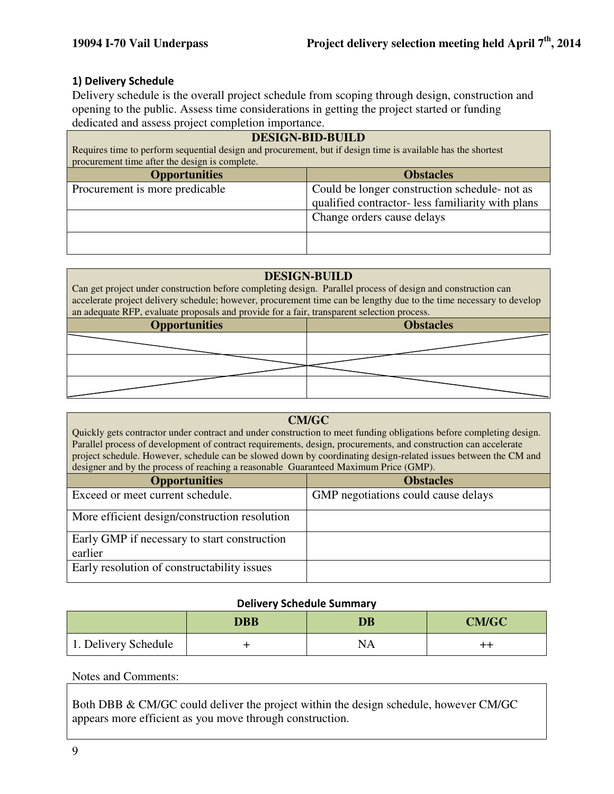#### 1) Delivery Schedule

Delivery schedule is the overall project schedule from scoping through design, construction and opening to the public. Assess time considerations in getting the project started or funding dedicated and assess project completion importance.

| <b>DESIGN-BID-BUILD</b><br>Requires time to perform sequential design and procurement, but if design time is available has the shortest<br>procurement time after the design is complete. |                                                                                                    |  |  |
|-------------------------------------------------------------------------------------------------------------------------------------------------------------------------------------------|----------------------------------------------------------------------------------------------------|--|--|
| <b>Obstacles</b><br><b>Opportunities</b>                                                                                                                                                  |                                                                                                    |  |  |
| Procurement is more predicable                                                                                                                                                            | Could be longer construction schedule- not as<br>qualified contractor- less familiarity with plans |  |  |
|                                                                                                                                                                                           | Change orders cause delays                                                                         |  |  |
|                                                                                                                                                                                           |                                                                                                    |  |  |

#### **DESIGN-BUILD**

Can get project under construction before completing design. Parallel process of design and construction can accelerate project delivery schedule; however, procurement time can be lengthy due to the time necessary to develop an adequate RFP, evaluate proposals and provide for a fair, transparent selection process.

| <b>Opportunities</b> |  | <b>Obstacles</b> |  |  |  |  |
|----------------------|--|------------------|--|--|--|--|
|                      |  |                  |  |  |  |  |
|                      |  |                  |  |  |  |  |
|                      |  |                  |  |  |  |  |

#### **CM/GC**

Quickly gets contractor under contract and under construction to meet funding obligations before completing design. Parallel process of development of contract requirements, design, procurements, and construction can accelerate project schedule. However, schedule can be slowed down by coordinating design-related issues between the CM and designer and by the process of reaching a reasonable Guaranteed Maximum Price (GMP).

| <b>Opportunities</b>                          | <b>Obstacles</b>                    |
|-----------------------------------------------|-------------------------------------|
| Exceed or meet current schedule.              | GMP negotiations could cause delays |
| More efficient design/construction resolution |                                     |
| Early GMP if necessary to start construction  |                                     |
| earlier                                       |                                     |
| Early resolution of constructability issues   |                                     |

#### Delivery Schedule Summary

|                      | <b>DBB</b> | <b>DB</b> | <b>CM/GC</b> |
|----------------------|------------|-----------|--------------|
| 1. Delivery Schedule |            | NA        |              |

#### Notes and Comments:

Both DBB & CM/GC could deliver the project within the design schedule, however CM/GC appears more efficient as you move through construction.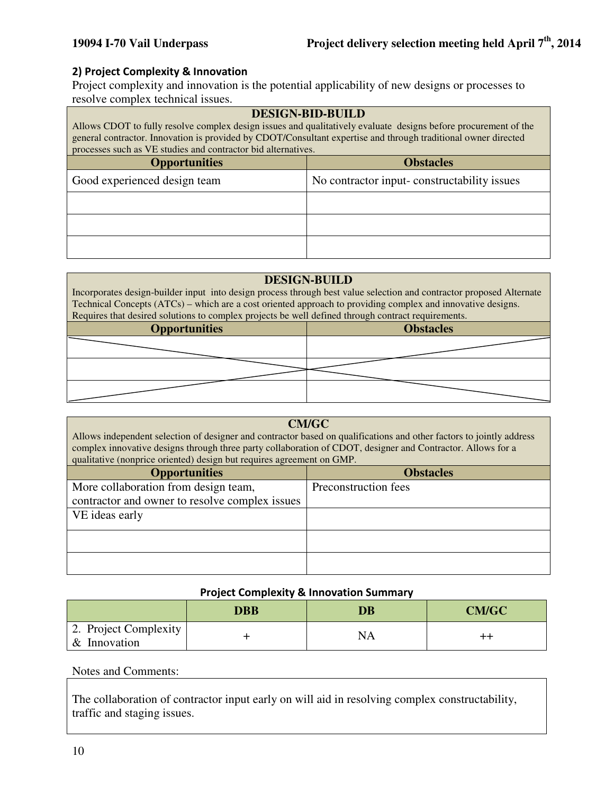#### 2) Project Complexity & Innovation

Project complexity and innovation is the potential applicability of new designs or processes to resolve complex technical issues.

| <b>DESIGN-BID-BUILD</b><br>Allows CDOT to fully resolve complex design issues and qualitatively evaluate designs before procurement of the<br>general contractor. Innovation is provided by CDOT/Consultant expertise and through traditional owner directed<br>processes such as VE studies and contractor bid alternatives. |                                             |  |  |
|-------------------------------------------------------------------------------------------------------------------------------------------------------------------------------------------------------------------------------------------------------------------------------------------------------------------------------|---------------------------------------------|--|--|
| <b>Obstacles</b><br><b>Opportunities</b>                                                                                                                                                                                                                                                                                      |                                             |  |  |
| Good experienced design team                                                                                                                                                                                                                                                                                                  | No contractor input-constructability issues |  |  |
|                                                                                                                                                                                                                                                                                                                               |                                             |  |  |
|                                                                                                                                                                                                                                                                                                                               |                                             |  |  |
|                                                                                                                                                                                                                                                                                                                               |                                             |  |  |

#### **DESIGN-BUILD**

Incorporates design-builder input into design process through best value selection and contractor proposed Alternate Technical Concepts (ATCs) – which are a cost oriented approach to providing complex and innovative designs. Requires that desired solutions to complex projects be well defined through contract requirements.

| <b>Opportunities</b> | <b>Obstacles</b> |
|----------------------|------------------|
|                      |                  |
|                      |                  |
|                      |                  |

| <b>CM/GC</b><br>Allows independent selection of designer and contractor based on qualifications and other factors to jointly address<br>complex innovative designs through three party collaboration of CDOT, designer and Contractor. Allows for a<br>qualitative (nonprice oriented) design but requires agreement on GMP. |                      |  |  |
|------------------------------------------------------------------------------------------------------------------------------------------------------------------------------------------------------------------------------------------------------------------------------------------------------------------------------|----------------------|--|--|
| <b>Opportunities</b><br><b>Obstacles</b>                                                                                                                                                                                                                                                                                     |                      |  |  |
| More collaboration from design team,                                                                                                                                                                                                                                                                                         | Preconstruction fees |  |  |
| contractor and owner to resolve complex issues                                                                                                                                                                                                                                                                               |                      |  |  |
| VE ideas early                                                                                                                                                                                                                                                                                                               |                      |  |  |
|                                                                                                                                                                                                                                                                                                                              |                      |  |  |
|                                                                                                                                                                                                                                                                                                                              |                      |  |  |

#### Project Complexity & Innovation Summary

|                                       | DBB | $\overline{\mathbf{D}}\mathbf{B}$ | <b>CM/GC</b> |
|---------------------------------------|-----|-----------------------------------|--------------|
| 2. Project Complexity<br>& Innovation |     | NΑ                                |              |

#### Notes and Comments:

The collaboration of contractor input early on will aid in resolving complex constructability, traffic and staging issues.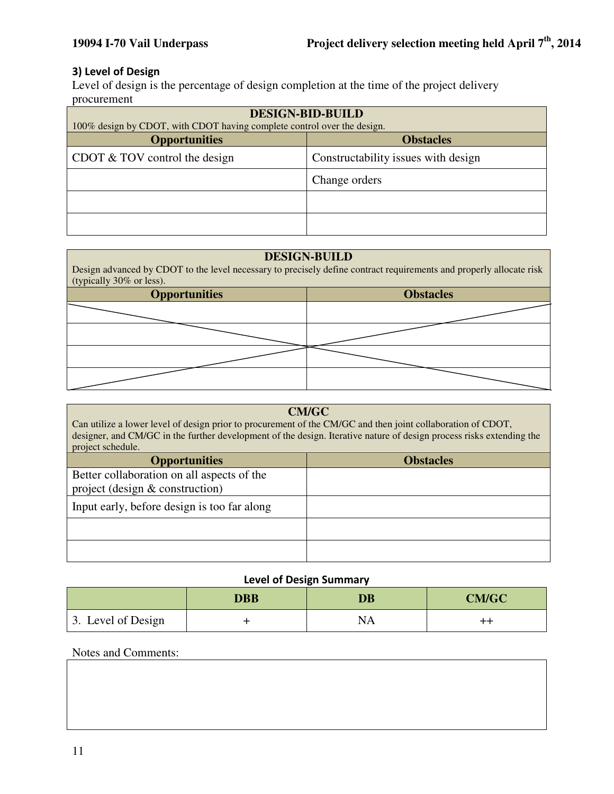#### 3) Level of Design

Level of design is the percentage of design completion at the time of the project delivery procurement

| <b>DESIGN-BID-BUILD</b><br>100% design by CDOT, with CDOT having complete control over the design. |                                     |  |  |
|----------------------------------------------------------------------------------------------------|-------------------------------------|--|--|
| <b>Opportunities</b><br><b>Obstacles</b>                                                           |                                     |  |  |
| CDOT $& TOV$ control the design                                                                    | Constructability issues with design |  |  |
|                                                                                                    | Change orders                       |  |  |
|                                                                                                    |                                     |  |  |
|                                                                                                    |                                     |  |  |

# **DESIGN-BUILD**  Design advanced by CDOT to the level necessary to precisely define contract requirements and properly allocate risk (typically 30% or less). **Opportunities Constanting Constanting Constanting Constanting Constanting Constanting Constanting Constanting Constanting Constanting Constanting Constanting Constanting Constanting Constanting Constanting Constanting Con**

| <b>CM/GC</b><br>Can utilize a lower level of design prior to procurement of the CM/GC and then joint collaboration of CDOT,<br>designer, and CM/GC in the further development of the design. Iterative nature of design process risks extending the<br>project schedule. |                  |  |  |  |
|--------------------------------------------------------------------------------------------------------------------------------------------------------------------------------------------------------------------------------------------------------------------------|------------------|--|--|--|
| <b>Opportunities</b>                                                                                                                                                                                                                                                     | <b>Obstacles</b> |  |  |  |
| Better collaboration on all aspects of the<br>project (design $&$ construction)                                                                                                                                                                                          |                  |  |  |  |
| Input early, before design is too far along                                                                                                                                                                                                                              |                  |  |  |  |
|                                                                                                                                                                                                                                                                          |                  |  |  |  |
|                                                                                                                                                                                                                                                                          |                  |  |  |  |

#### Level of Design Summary

|                    | <b>DBB</b> | <b>DB</b> | <b>CM/GC</b> |
|--------------------|------------|-----------|--------------|
| 3. Level of Design |            | NA        |              |

#### Notes and Comments: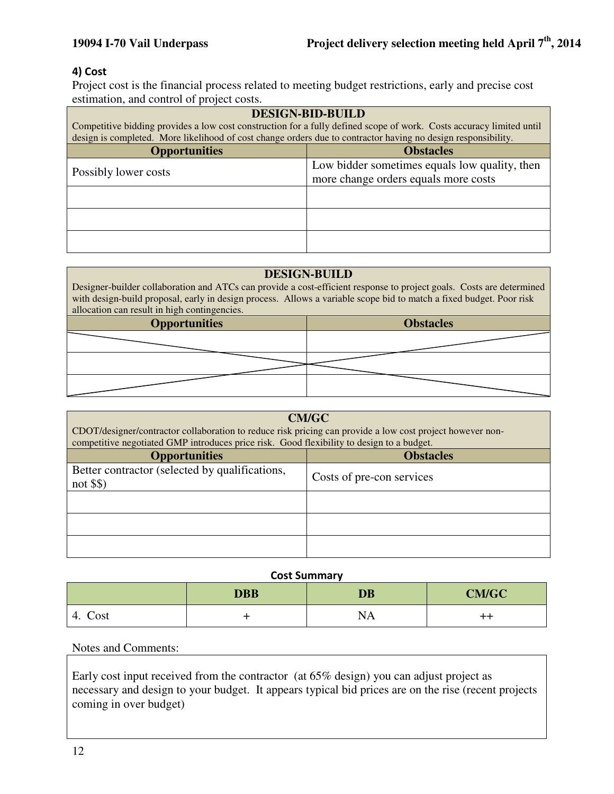#### 4) Cost

Project cost is the financial process related to meeting budget restrictions, early and precise cost estimation, and control of project costs.

| <b>DESIGN-BID-BUILD</b><br>Competitive bidding provides a low cost construction for a fully defined scope of work. Costs accuracy limited until<br>design is completed. More likelihood of cost change orders due to contractor having no design responsibility. |                                                                                       |  |
|------------------------------------------------------------------------------------------------------------------------------------------------------------------------------------------------------------------------------------------------------------------|---------------------------------------------------------------------------------------|--|
| <b>Opportunities</b><br><b>Obstacles</b>                                                                                                                                                                                                                         |                                                                                       |  |
| Possibly lower costs                                                                                                                                                                                                                                             | Low bidder sometimes equals low quality, then<br>more change orders equals more costs |  |
|                                                                                                                                                                                                                                                                  |                                                                                       |  |
|                                                                                                                                                                                                                                                                  |                                                                                       |  |
|                                                                                                                                                                                                                                                                  |                                                                                       |  |

#### **DESIGN-BUILD**

Designer-builder collaboration and ATCs can provide a cost-efficient response to project goals. Costs are determined with design-build proposal, early in design process. Allows a variable scope bid to match a fixed budget. Poor risk allocation can result in high contingencies.

| <b>Opportunities</b> | <b>Obstacles</b> |  |
|----------------------|------------------|--|
|                      |                  |  |
|                      |                  |  |
|                      |                  |  |

| <b>CM/GC</b><br>CDOT/designer/contractor collaboration to reduce risk pricing can provide a low cost project however non-<br>competitive negotiated GMP introduces price risk. Good flexibility to design to a budget. |                           |  |
|------------------------------------------------------------------------------------------------------------------------------------------------------------------------------------------------------------------------|---------------------------|--|
| <b>Obstacles</b><br><b>Opportunities</b>                                                                                                                                                                               |                           |  |
| Better contractor (selected by qualifications,<br>not \$\$)                                                                                                                                                            | Costs of pre-con services |  |
|                                                                                                                                                                                                                        |                           |  |
|                                                                                                                                                                                                                        |                           |  |
|                                                                                                                                                                                                                        |                           |  |

#### Cost Summary

|            | <b>DBB</b> | <b>DB</b> | <b>CM/GC</b>     |
|------------|------------|-----------|------------------|
| Cost<br>4. |            | <b>NA</b> | $^{\mathrm{++}}$ |

#### Notes and Comments:

Early cost input received from the contractor (at 65% design) you can adjust project as necessary and design to your budget. It appears typical bid prices are on the rise (recent projects coming in over budget)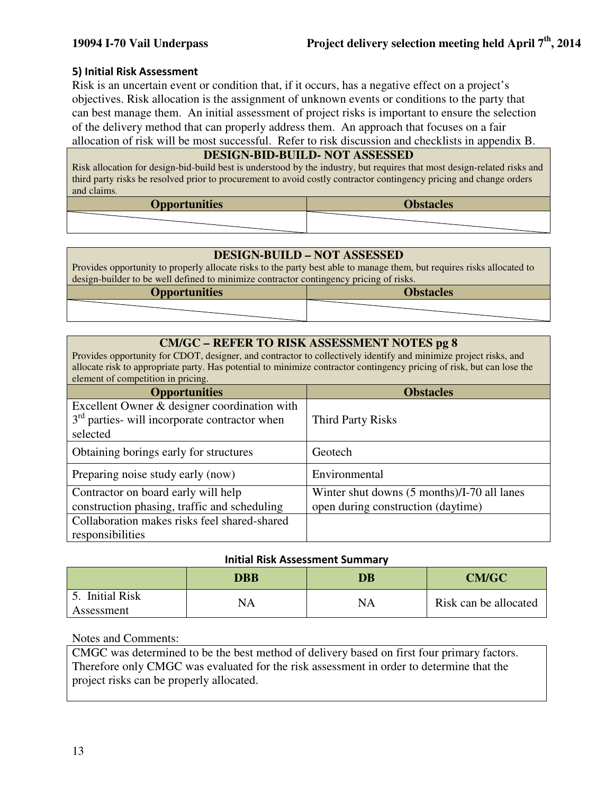#### 5) Initial Risk Assessment

Risk is an uncertain event or condition that, if it occurs, has a negative effect on a project's objectives. Risk allocation is the assignment of unknown events or conditions to the party that can best manage them. An initial assessment of project risks is important to ensure the selection of the delivery method that can properly address them. An approach that focuses on a fair allocation of risk will be most successful. Refer to risk discussion and checklists in appendix B.

#### **DESIGN-BID-BUILD- NOT ASSESSED**

Risk allocation for design-bid-build best is understood by the industry, but requires that most design-related risks and third party risks be resolved prior to procurement to avoid costly contractor contingency pricing and change orders and claims.

| <b>Opportunities</b> | <b>Obstacles</b> |
|----------------------|------------------|
|                      |                  |

#### **DESIGN-BUILD – NOT ASSESSED**

Provides opportunity to properly allocate risks to the party best able to manage them, but requires risks allocated to design-builder to be well defined to minimize contractor contingency pricing of risks.

| <b>Opportunities</b> | <b>Obstacles</b> |
|----------------------|------------------|
|                      |                  |

#### **CM/GC – REFER TO RISK ASSESSMENT NOTES pg 8**

Provides opportunity for CDOT, designer, and contractor to collectively identify and minimize project risks, and allocate risk to appropriate party. Has potential to minimize contractor contingency pricing of risk, but can lose the element of competition in pricing.

| <b>Opportunities</b>                                                                                        | <b>Obstacles</b>                                                                  |
|-------------------------------------------------------------------------------------------------------------|-----------------------------------------------------------------------------------|
| Excellent Owner & designer coordination with<br>$3rd$ parties- will incorporate contractor when<br>selected | <b>Third Party Risks</b>                                                          |
| Obtaining borings early for structures                                                                      | Geotech                                                                           |
| Preparing noise study early (now)                                                                           | Environmental                                                                     |
| Contractor on board early will help<br>construction phasing, traffic and scheduling                         | Winter shut downs (5 months)/I-70 all lanes<br>open during construction (daytime) |
| Collaboration makes risks feel shared-shared<br>responsibilities                                            |                                                                                   |

#### Initial Risk Assessment Summary

|                                   | DBB | $\overline{\mathbf{D}}\mathbf{B}$ | <b>CM/GC</b>          |
|-----------------------------------|-----|-----------------------------------|-----------------------|
| <b>Initial Risk</b><br>Assessment | NA  | NA                                | Risk can be allocated |

#### Notes and Comments:

CMGC was determined to be the best method of delivery based on first four primary factors. Therefore only CMGC was evaluated for the risk assessment in order to determine that the project risks can be properly allocated.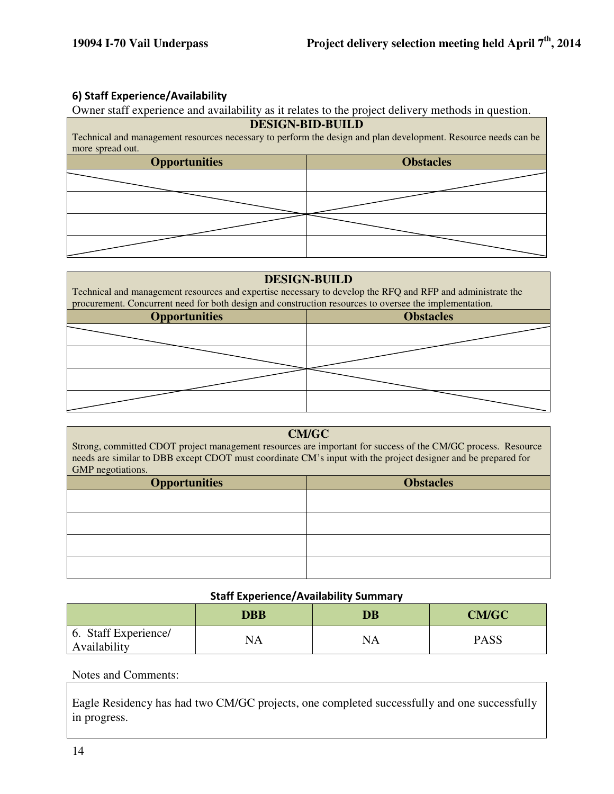#### 6) Staff Experience/Availability

Owner staff experience and availability as it relates to the project delivery methods in question.

| <b>DESIGN-BID-BUILD</b><br>Technical and management resources necessary to perform the design and plan development. Resource needs can be |  |  |
|-------------------------------------------------------------------------------------------------------------------------------------------|--|--|
| more spread out.<br><b>Obstacles</b><br><b>Opportunities</b>                                                                              |  |  |
|                                                                                                                                           |  |  |
|                                                                                                                                           |  |  |
|                                                                                                                                           |  |  |
|                                                                                                                                           |  |  |

#### **DESIGN-BUILD**

Technical and management resources and expertise necessary to develop the RFQ and RFP and administrate the procurement. Concurrent need for both design and construction resources to oversee the implementation.

| ັ<br><b>Opportunities</b> | <b>Obstacles</b> |  |
|---------------------------|------------------|--|
|                           |                  |  |
|                           |                  |  |
|                           |                  |  |
|                           |                  |  |

#### **CM/GC**

Strong, committed CDOT project management resources are important for success of the CM/GC process. Resource needs are similar to DBB except CDOT must coordinate CM's input with the project designer and be prepared for GMP negotiations.

| $\sqrt{2}$<br>.      |                  |  |
|----------------------|------------------|--|
| <b>Opportunities</b> | <b>Obstacles</b> |  |
|                      |                  |  |
|                      |                  |  |
|                      |                  |  |
|                      |                  |  |
|                      |                  |  |

#### Staff Experience/Availability Summary

|                                      | <b>DBB</b> | <b>DB</b> | <b>CM/GC</b> |
|--------------------------------------|------------|-----------|--------------|
| 6. Staff Experience/<br>Availability | NA         | NA        | <b>PASS</b>  |

#### Notes and Comments:

Eagle Residency has had two CM/GC projects, one completed successfully and one successfully in progress.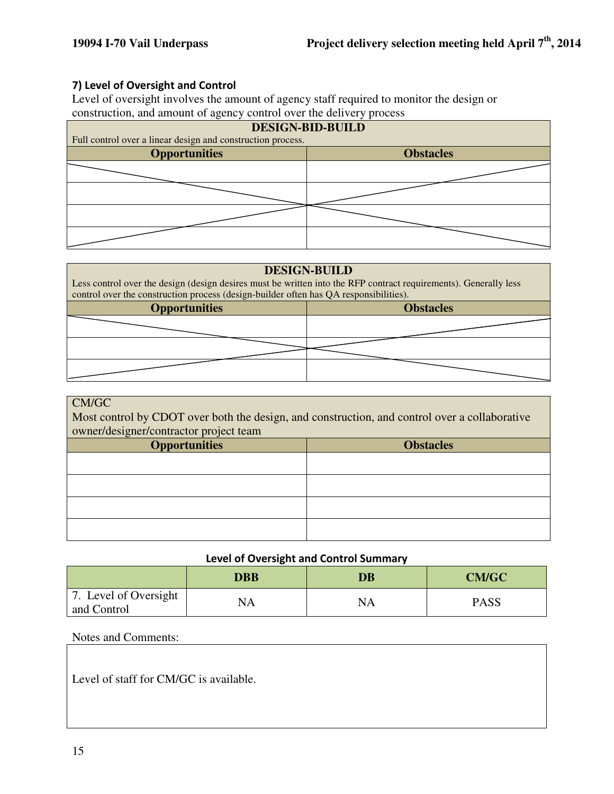#### 7) Level of Oversight and Control

Level of oversight involves the amount of agency staff required to monitor the design or construction, and amount of agency control over the delivery process

| <b>DESIGN-BID-BUILD</b>                                     |                  |  |
|-------------------------------------------------------------|------------------|--|
| Full control over a linear design and construction process. |                  |  |
| <b>Opportunities</b>                                        | <b>Obstacles</b> |  |
|                                                             |                  |  |
|                                                             |                  |  |
|                                                             |                  |  |
|                                                             |                  |  |

#### **DESIGN-BUILD**

Less control over the design (design desires must be written into the RFP contract requirements). Generally less control over the construction process (design-builder often has QA responsibilities).

| <b>Opportunities</b> | <b>Obstacles</b> |
|----------------------|------------------|
|                      |                  |
|                      |                  |
|                      |                  |

#### CM/GC

Most control by CDOT over both the design, and construction, and control over a collaborative owner/designer/contractor project team

| O<br>- 1<br><b>Opportunities</b> | <b>Obstacles</b> |
|----------------------------------|------------------|
|                                  |                  |
|                                  |                  |
|                                  |                  |
|                                  |                  |

#### Level of Oversight and Control Summary

|                                      | DBB | DB | <b>CM/GC</b> |
|--------------------------------------|-----|----|--------------|
| 7. Level of Oversight<br>and Control | NA  | NA | PASS         |

#### Notes and Comments:

Level of staff for CM/GC is available.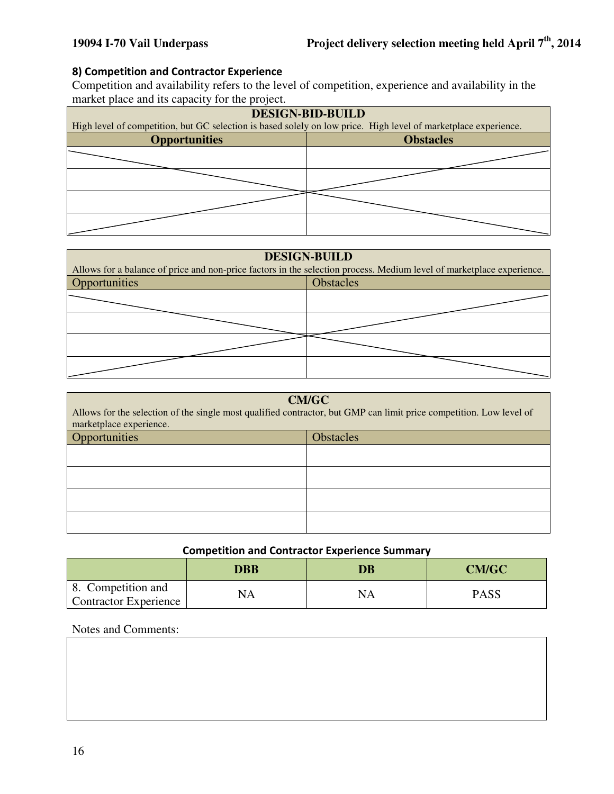#### 8) Competition and Contractor Experience

Competition and availability refers to the level of competition, experience and availability in the market place and its capacity for the project.

| <b>DESIGN-BID-BUILD</b>                                                                                         |                  |  |
|-----------------------------------------------------------------------------------------------------------------|------------------|--|
| High level of competition, but GC selection is based solely on low price. High level of marketplace experience. |                  |  |
| <b>Opportunities</b>                                                                                            | <b>Obstacles</b> |  |
|                                                                                                                 |                  |  |
|                                                                                                                 |                  |  |
|                                                                                                                 |                  |  |
|                                                                                                                 |                  |  |

| <b>DESIGN-BUILD</b><br>Allows for a balance of price and non-price factors in the selection process. Medium level of marketplace experience. |                  |  |
|----------------------------------------------------------------------------------------------------------------------------------------------|------------------|--|
| Opportunities                                                                                                                                | <b>Obstacles</b> |  |
|                                                                                                                                              |                  |  |
|                                                                                                                                              |                  |  |
|                                                                                                                                              |                  |  |
|                                                                                                                                              |                  |  |

# **CM/GC**  Allows for the selection of the single most qualified contractor, but GMP can limit price competition. Low level of marketplace experience. Opportunities and a state of the obstacles of the obstacles of the obstacles of the obstacles of the obstacles

#### Competition and Contractor Experience Summary

|                                                    | DBB | DB | <b>CM/GC</b> |
|----------------------------------------------------|-----|----|--------------|
| 8. Competition and<br><b>Contractor Experience</b> | NA  | NA | PASS         |

#### Notes and Comments: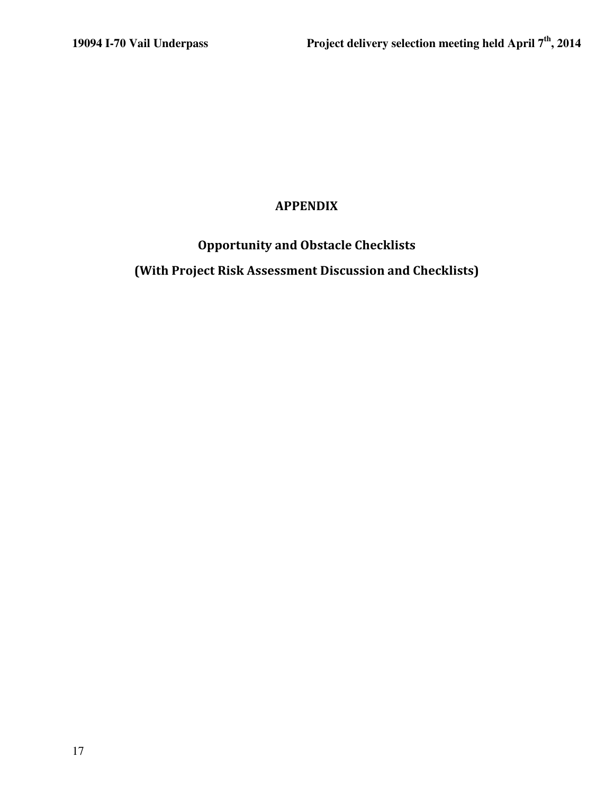# APPENDIX

Opportunity and Obstacle Checklists

(With Project Risk Assessment Discussion and Checklists)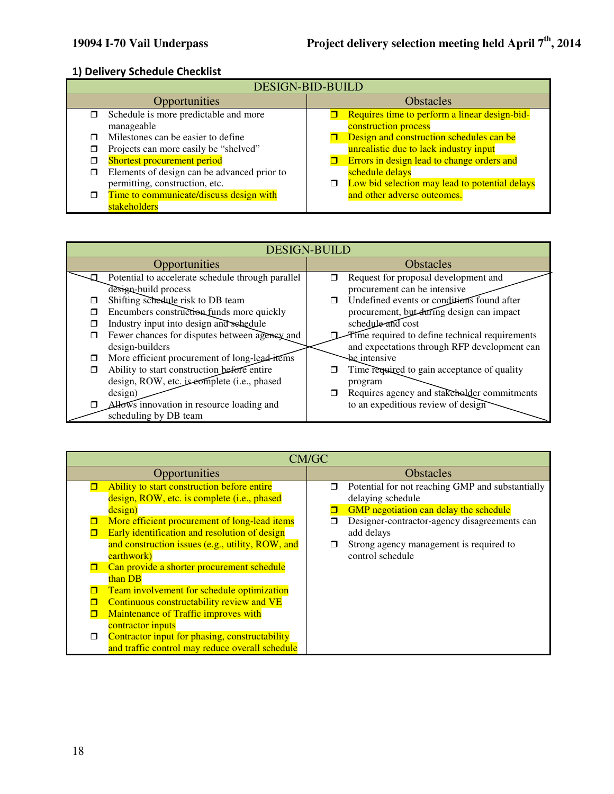#### 1) Delivery Schedule Checklist

| <b>DESIGN-BID-BUILD</b> |                                             |                  |                                                |
|-------------------------|---------------------------------------------|------------------|------------------------------------------------|
| Opportunities           |                                             | <b>Obstacles</b> |                                                |
|                         | Schedule is more predictable and more       |                  | Requires time to perform a linear design-bid-  |
|                         | manageable                                  |                  | construction process                           |
|                         | Milestones can be easier to define          |                  | Design and construction schedules can be       |
|                         | Projects can more easily be "shelved"       |                  | unrealistic due to lack industry input         |
|                         | Shortest procurement period                 |                  | Errors in design lead to change orders and     |
|                         | Elements of design can be advanced prior to |                  | schedule delays                                |
|                         | permitting, construction, etc.              | □                | Low bid selection may lead to potential delays |
| п                       | Time to communicate/discuss design with     |                  | and other adverse outcomes.                    |
|                         | stakeholders                                |                  |                                                |

| <b>DESIGN-BUILD</b>                                |                                                      |  |
|----------------------------------------------------|------------------------------------------------------|--|
| Opportunities                                      | <b>Obstacles</b>                                     |  |
| Potential to accelerate schedule through parallel  | Request for proposal development and                 |  |
| design-build process                               | procurement can be intensive                         |  |
| Shifting schedule risk to DB team                  | Undefined events or conditions found after<br>$\Box$ |  |
| Encumbers construction funds more quickly<br>п     | procurement, but during design can impact            |  |
| Industry input into design and schedule            | schedule and cost                                    |  |
| Fewer chances for disputes between agency and<br>□ | Time required to define technical requirements       |  |
| design-builders                                    | and expectations through RFP development can         |  |
| More efficient procurement of long-lead-items<br>Ω | be intensive                                         |  |
| Ability to start construction before entire<br>π   | Time required to gain acceptance of quality          |  |
| design, ROW, etc. is edmplete (i.e., phased        | program                                              |  |
| design)                                            | Requires agency and stakeholder commitments<br>⊓     |  |
| Allows innovation in resource loading and          | to an expeditious review of design                   |  |
| scheduling by DB team                              |                                                      |  |

| CM/GC                                                                                                                                                                                                                                                               |                                                                                                                                                                      |  |
|---------------------------------------------------------------------------------------------------------------------------------------------------------------------------------------------------------------------------------------------------------------------|----------------------------------------------------------------------------------------------------------------------------------------------------------------------|--|
| Opportunities                                                                                                                                                                                                                                                       | <b>Obstacles</b>                                                                                                                                                     |  |
| Ability to start construction before entire<br>design, ROW, etc. is complete (i.e., phased<br>design)<br>More efficient procurement of long-lead items                                                                                                              | Potential for not reaching GMP and substantially<br>□<br>delaying schedule<br>GMP negotiation can delay the schedule<br>Designer-contractor-agency disagreements can |  |
| Early identification and resolution of design<br>and construction issues (e.g., utility, ROW, and<br>earthwork)<br>Can provide a shorter procurement schedule<br>than DB                                                                                            | add delays<br>Strong agency management is required to<br>control schedule                                                                                            |  |
| Team involvement for schedule optimization<br>Continuous constructability review and VE<br>Maintenance of Traffic improves with<br>contractor inputs<br>Contractor input for phasing, constructability<br>$\Box$<br>and traffic control may reduce overall schedule |                                                                                                                                                                      |  |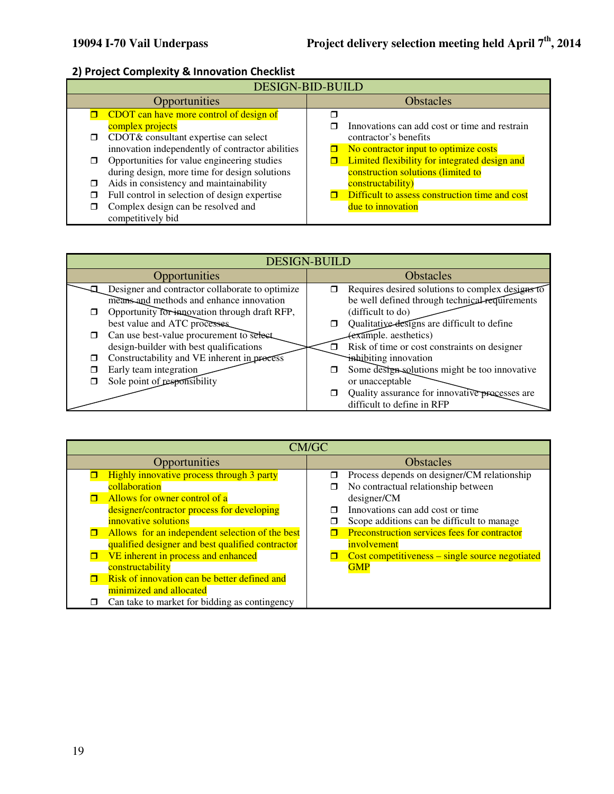# 2) Project Complexity & Innovation Checklist

| <b>DESIGN-BID-BUILD</b> |                                                                                                                                                  |  |                                                                                                                              |
|-------------------------|--------------------------------------------------------------------------------------------------------------------------------------------------|--|------------------------------------------------------------------------------------------------------------------------------|
|                         | <b>Opportunities</b>                                                                                                                             |  | <b>Obstacles</b>                                                                                                             |
|                         | <b>CDOT</b> can have more control of design of                                                                                                   |  |                                                                                                                              |
| □                       | complex projects<br>CDOT& consultant expertise can select                                                                                        |  | Innovations can add cost or time and restrain<br>contractor's benefits                                                       |
|                         | innovation independently of contractor abilities<br>Opportunities for value engineering studies<br>during design, more time for design solutions |  | No contractor input to optimize costs<br>Limited flexibility for integrated design and<br>construction solutions (limited to |
|                         | Aids in consistency and maintainability                                                                                                          |  | constructability)                                                                                                            |
|                         | Full control in selection of design expertise                                                                                                    |  | Difficult to assess construction time and cost                                                                               |
|                         | Complex design can be resolved and<br>competitively bid                                                                                          |  | due to innovation                                                                                                            |

|        | <b>DESIGN-BUILD</b>                             |                  |                                                  |  |
|--------|-------------------------------------------------|------------------|--------------------------------------------------|--|
|        | Opportunities                                   | <b>Obstacles</b> |                                                  |  |
|        | Designer and contractor collaborate to optimize |                  | Requires desired solutions to complex designs to |  |
|        | means and methods and enhance innovation        |                  | be well defined through technical requirements   |  |
|        | Opportunity for innovation through draft RFP,   |                  | (difficult to do)                                |  |
|        | best value and ATC processes.                   |                  | Qualitative designs are difficult to define      |  |
| $\Box$ | Can use best-value procurement to select        |                  | (example. aesthetics)                            |  |
|        | design-builder with best qualifications         |                  | Risk of time or cost constraints on designer     |  |
|        | Constructability and VE inherent in process     |                  | inhibiting innovation                            |  |
|        | Early team integration                          |                  | Some design solutions might be too innovative    |  |
|        | Sole point of responsibility                    |                  | or unacceptable                                  |  |
|        |                                                 |                  | Quality assurance for innovative processes are   |  |
|        |                                                 |                  | difficult to define in RFP                       |  |

| CM/GC         |                                                  |                  |                                                 |
|---------------|--------------------------------------------------|------------------|-------------------------------------------------|
| Opportunities |                                                  | <b>Obstacles</b> |                                                 |
|               | Highly innovative process through 3 party        | ⊓                | Process depends on designer/CM relationship     |
|               | collaboration                                    | ⊓                | No contractual relationship between             |
|               | Allows for owner control of a                    |                  | designer/CM                                     |
|               | designer/contractor process for developing       |                  | Innovations can add cost or time                |
|               | innovative solutions                             | П                | Scope additions can be difficult to manage      |
|               | Allows for an independent selection of the best  |                  | Preconstruction services fees for contractor    |
|               | qualified designer and best qualified contractor |                  | involvement                                     |
|               | VE inherent in process and enhanced              |                  | Cost competitiveness – single source negotiated |
|               | constructability                                 |                  | <b>GMP</b>                                      |
|               | Risk of innovation can be better defined and     |                  |                                                 |
|               | minimized and allocated                          |                  |                                                 |
|               | Can take to market for bidding as contingency    |                  |                                                 |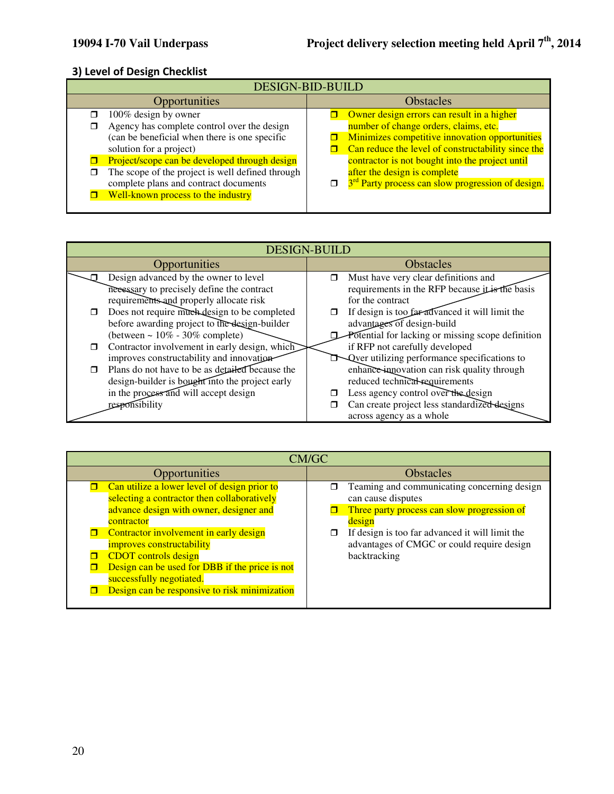# 3) Level of Design Checklist

| DESIGN-BID-BUILD                                                                                                                                                                 |                                                                                                                                                                                             |  |  |
|----------------------------------------------------------------------------------------------------------------------------------------------------------------------------------|---------------------------------------------------------------------------------------------------------------------------------------------------------------------------------------------|--|--|
| Opportunities                                                                                                                                                                    | <b>Obstacles</b>                                                                                                                                                                            |  |  |
| 100% design by owner<br>Agency has complete control over the design<br>(can be beneficial when there is one specific<br>solution for a project)                                  | Owner design errors can result in a higher<br>number of change orders, claims, etc.<br>Minimizes competitive innovation opportunities<br>Can reduce the level of constructability since the |  |  |
| Project/scope can be developed through design<br>The scope of the project is well defined through<br>complete plans and contract documents<br>Well-known process to the industry | contractor is not bought into the project until<br>after the design is complete<br>3 <sup>rd</sup> Party process can slow progression of design.                                            |  |  |

|   | <b>DESIGN-BUILD</b>                             |        |                                                          |  |
|---|-------------------------------------------------|--------|----------------------------------------------------------|--|
|   | Opportunities                                   |        | <b>Obstacles</b>                                         |  |
|   | Design advanced by the owner to level           | $\Box$ | Must have very clear definitions and                     |  |
|   | necessary to precisely define the contract      |        | requirements in the RFP because it is the basis          |  |
|   | requirements and properly allocate risk         |        | for the contract                                         |  |
| ⊓ | Does not require much design to be completed    | α      | If design is too far advanced it will limit the          |  |
|   | before awarding project to the design-builder   |        | advantages of design-build                               |  |
|   | (between $\sim 10\%$ - 30% complete)            |        | Potential for lacking or missing scope definition        |  |
| п | Contractor involvement in early design, which   |        | if RFP not carefully developed                           |  |
|   | improves constructability and innovation-       |        | <b>Next</b> Qver utilizing performance specifications to |  |
| ⊓ | Plans do not have to be as detailed because the |        | enhance-innovation can risk quality through              |  |
|   | design-builder is bought into the project early |        | reduced technical requirements                           |  |
|   | in the process and will accept design           |        | Less agency control over the design                      |  |
|   | responsibility                                  |        | Can create project less standardized designs             |  |
|   |                                                 |        | across agency as a whole                                 |  |

| CM/GC                                                                                                                                                                                                                                                                                                                                                                                     |                                                                                                                                                                                                                                                       |  |
|-------------------------------------------------------------------------------------------------------------------------------------------------------------------------------------------------------------------------------------------------------------------------------------------------------------------------------------------------------------------------------------------|-------------------------------------------------------------------------------------------------------------------------------------------------------------------------------------------------------------------------------------------------------|--|
| Opportunities                                                                                                                                                                                                                                                                                                                                                                             | <b>Obstacles</b>                                                                                                                                                                                                                                      |  |
| Can utilize a lower level of design prior to<br>selecting a contractor then collaboratively<br>advance design with owner, designer and<br>contractor<br>Contractor involvement in early design<br>improves constructability<br><b>CDOT</b> controls design<br>Design can be used for DBB if the price is not<br>successfully negotiated.<br>Design can be responsive to risk minimization | Teaming and communicating concerning design<br>π<br>can cause disputes<br>Three party process can slow progression of<br>design<br>If design is too far advanced it will limit the<br>□<br>advantages of CMGC or could require design<br>backtracking |  |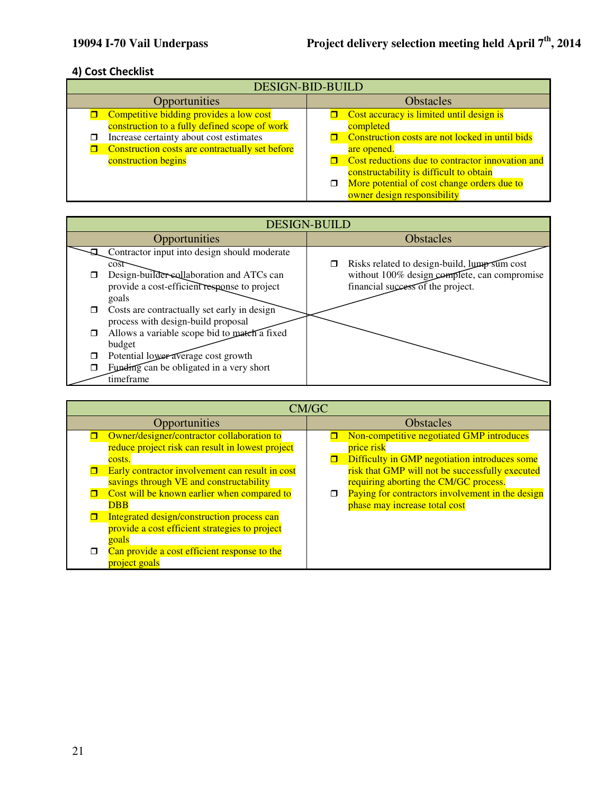### 4) Cost Checklist

| <b>DESIGN-BID-BUILD</b>                                                                                                                                                                |                                                                                                                                                                           |  |
|----------------------------------------------------------------------------------------------------------------------------------------------------------------------------------------|---------------------------------------------------------------------------------------------------------------------------------------------------------------------------|--|
| Opportunities                                                                                                                                                                          | <b>Obstacles</b>                                                                                                                                                          |  |
| Competitive bidding provides a low cost<br>construction to a fully defined scope of work<br>Increase certainty about cost estimates<br>Construction costs are contractually set before | Cost accuracy is limited until design is<br>completed<br>Construction costs are not locked in until bids<br>are opened.                                                   |  |
| construction begins                                                                                                                                                                    | Cost reductions due to contractor innovation and<br>constructability is difficult to obtain<br>More potential of cost change orders due to<br>owner design responsibility |  |

|        | <b>DESIGN-BUILD</b>                          |  |                                              |
|--------|----------------------------------------------|--|----------------------------------------------|
|        | Opportunities                                |  | <b>Obstacles</b>                             |
|        | Contractor input into design should moderate |  |                                              |
|        | $\cos t$                                     |  | Risks related to design-build, lump sum cost |
|        | Design-builder-sollaboration and ATCs can    |  | without 100% design complete, can compromise |
|        | provide a cost-efficient response to project |  | financial success of the project.            |
|        | goals                                        |  |                                              |
| □      | Costs are contractually set early in design  |  |                                              |
|        | process with design-build proposal           |  |                                              |
| $\Box$ | Allows a variable scope bid to match a fixed |  |                                              |
|        | budget                                       |  |                                              |
| $\Box$ | Potential lower average cost growth          |  |                                              |
| □      | Funding can be obligated in a very short     |  |                                              |
|        | timeframe                                    |  |                                              |

| CM/GC                                                                                                    |                                                                                                          |  |
|----------------------------------------------------------------------------------------------------------|----------------------------------------------------------------------------------------------------------|--|
| Opportunities                                                                                            | <b>Obstacles</b>                                                                                         |  |
| Owner/designer/contractor collaboration to<br>reduce project risk can result in lowest project<br>costs. | Non-competitive negotiated GMP introduces<br>price risk<br>Difficulty in GMP negotiation introduces some |  |
| Early contractor involvement can result in cost<br>savings through VE and constructability               | risk that GMP will not be successfully executed<br>requiring aborting the CM/GC process.                 |  |
| Cost will be known earlier when compared to<br><b>DBB</b>                                                | Paying for contractors involvement in the design<br>phase may increase total cost                        |  |
| Integrated design/construction process can<br>provide a cost efficient strategies to project<br>goals    |                                                                                                          |  |
| Can provide a cost efficient response to the<br>project goals                                            |                                                                                                          |  |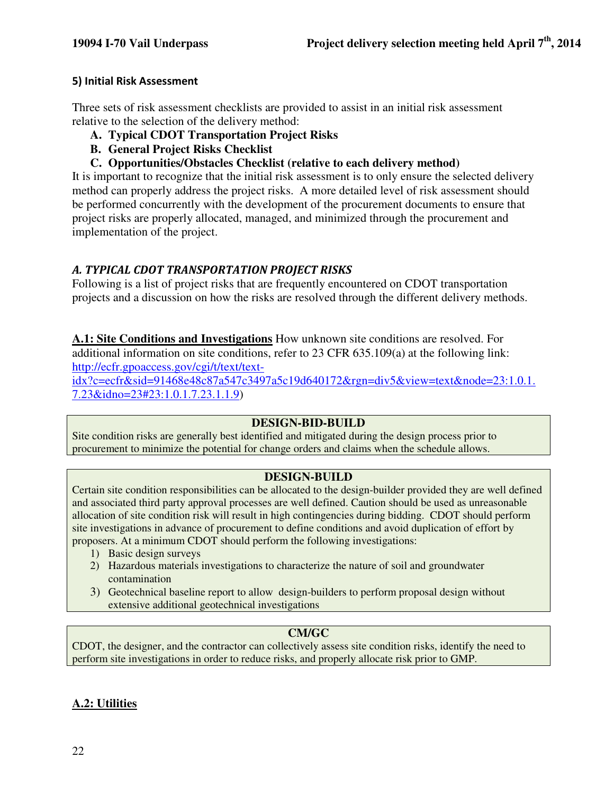#### 5) Initial Risk Assessment

Three sets of risk assessment checklists are provided to assist in an initial risk assessment relative to the selection of the delivery method:

- **A. Typical CDOT Transportation Project Risks**
- **B. General Project Risks Checklist**
- **C. Opportunities/Obstacles Checklist (relative to each delivery method)**

It is important to recognize that the initial risk assessment is to only ensure the selected delivery method can properly address the project risks. A more detailed level of risk assessment should be performed concurrently with the development of the procurement documents to ensure that project risks are properly allocated, managed, and minimized through the procurement and implementation of the project.

#### A. TYPICAL CDOT TRANSPORTATION PROJECT RISKS

Following is a list of project risks that are frequently encountered on CDOT transportation projects and a discussion on how the risks are resolved through the different delivery methods.

**A.1: Site Conditions and Investigations** How unknown site conditions are resolved. For additional information on site conditions, refer to 23 CFR 635.109(a) at the following link: http://ecfr.gpoaccess.gov/cgi/t/text/text-

idx?c=ecfr&sid=91468e48c87a547c3497a5c19d640172&rgn=div5&view=text&node=23:1.0.1. 7.23&idno=23#23:1.0.1.7.23.1.1.9)

#### **DESIGN-BID-BUILD**

Site condition risks are generally best identified and mitigated during the design process prior to procurement to minimize the potential for change orders and claims when the schedule allows.

#### **DESIGN-BUILD**

Certain site condition responsibilities can be allocated to the design-builder provided they are well defined and associated third party approval processes are well defined. Caution should be used as unreasonable allocation of site condition risk will result in high contingencies during bidding. CDOT should perform site investigations in advance of procurement to define conditions and avoid duplication of effort by proposers. At a minimum CDOT should perform the following investigations:

- 1) Basic design surveys
- 2) Hazardous materials investigations to characterize the nature of soil and groundwater contamination
- 3) Geotechnical baseline report to allow design-builders to perform proposal design without extensive additional geotechnical investigations

#### **CM/GC**

CDOT, the designer, and the contractor can collectively assess site condition risks, identify the need to perform site investigations in order to reduce risks, and properly allocate risk prior to GMP.

#### **A.2: Utilities**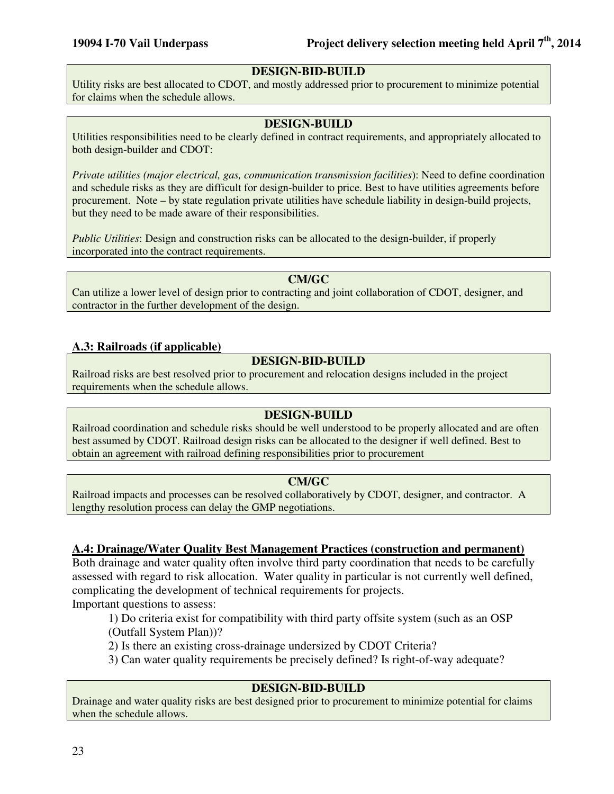#### **DESIGN-BID-BUILD**

Utility risks are best allocated to CDOT, and mostly addressed prior to procurement to minimize potential for claims when the schedule allows.

#### **DESIGN-BUILD**

Utilities responsibilities need to be clearly defined in contract requirements, and appropriately allocated to both design-builder and CDOT:

*Private utilities (major electrical, gas, communication transmission facilities*): Need to define coordination and schedule risks as they are difficult for design-builder to price. Best to have utilities agreements before procurement. Note – by state regulation private utilities have schedule liability in design-build projects, but they need to be made aware of their responsibilities.

*Public Utilities*: Design and construction risks can be allocated to the design-builder, if properly incorporated into the contract requirements.

**CM/GC** 

Can utilize a lower level of design prior to contracting and joint collaboration of CDOT, designer, and contractor in the further development of the design.

#### **A.3: Railroads (if applicable)**

#### **DESIGN-BID-BUILD**

Railroad risks are best resolved prior to procurement and relocation designs included in the project requirements when the schedule allows.

#### **DESIGN-BUILD**

Railroad coordination and schedule risks should be well understood to be properly allocated and are often best assumed by CDOT. Railroad design risks can be allocated to the designer if well defined. Best to obtain an agreement with railroad defining responsibilities prior to procurement

#### **CM/GC**

Railroad impacts and processes can be resolved collaboratively by CDOT, designer, and contractor. A lengthy resolution process can delay the GMP negotiations.

#### **A.4: Drainage/Water Quality Best Management Practices (construction and permanent)**

Both drainage and water quality often involve third party coordination that needs to be carefully assessed with regard to risk allocation. Water quality in particular is not currently well defined, complicating the development of technical requirements for projects.

Important questions to assess:

1) Do criteria exist for compatibility with third party offsite system (such as an OSP

(Outfall System Plan))?

2) Is there an existing cross-drainage undersized by CDOT Criteria?

3) Can water quality requirements be precisely defined? Is right-of-way adequate?

#### **DESIGN-BID-BUILD**

Drainage and water quality risks are best designed prior to procurement to minimize potential for claims when the schedule allows.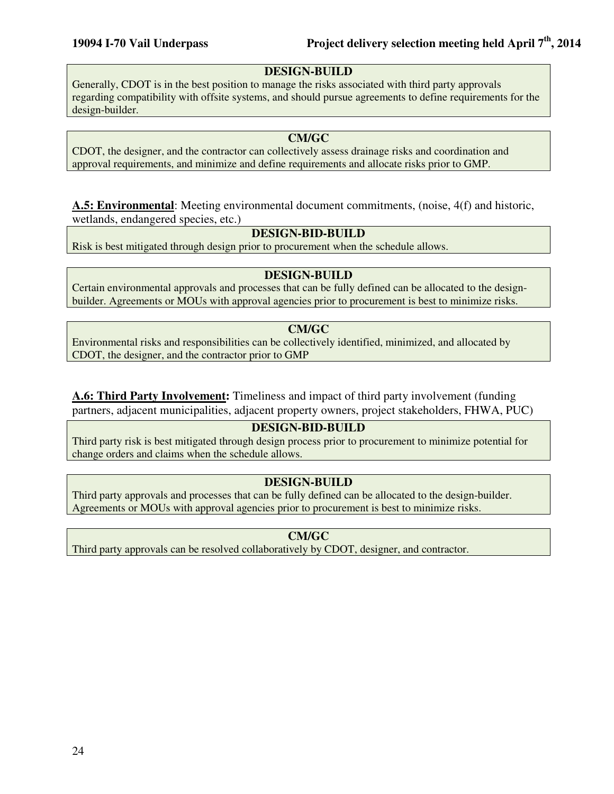#### **DESIGN-BUILD**

Generally, CDOT is in the best position to manage the risks associated with third party approvals regarding compatibility with offsite systems, and should pursue agreements to define requirements for the design-builder.

#### **CM/GC**

CDOT, the designer, and the contractor can collectively assess drainage risks and coordination and approval requirements, and minimize and define requirements and allocate risks prior to GMP.

#### **A.5: Environmental**: Meeting environmental document commitments, (noise, 4(f) and historic, wetlands, endangered species, etc.)

#### **DESIGN-BID-BUILD**

Risk is best mitigated through design prior to procurement when the schedule allows.

#### **DESIGN-BUILD**

Certain environmental approvals and processes that can be fully defined can be allocated to the designbuilder. Agreements or MOUs with approval agencies prior to procurement is best to minimize risks.

#### **CM/GC**

Environmental risks and responsibilities can be collectively identified, minimized, and allocated by CDOT, the designer, and the contractor prior to GMP

**A.6: Third Party Involvement:** Timeliness and impact of third party involvement (funding partners, adjacent municipalities, adjacent property owners, project stakeholders, FHWA, PUC)

#### **DESIGN-BID-BUILD**

Third party risk is best mitigated through design process prior to procurement to minimize potential for change orders and claims when the schedule allows.

#### **DESIGN-BUILD**

Third party approvals and processes that can be fully defined can be allocated to the design-builder. Agreements or MOUs with approval agencies prior to procurement is best to minimize risks.

#### **CM/GC**

Third party approvals can be resolved collaboratively by CDOT, designer, and contractor.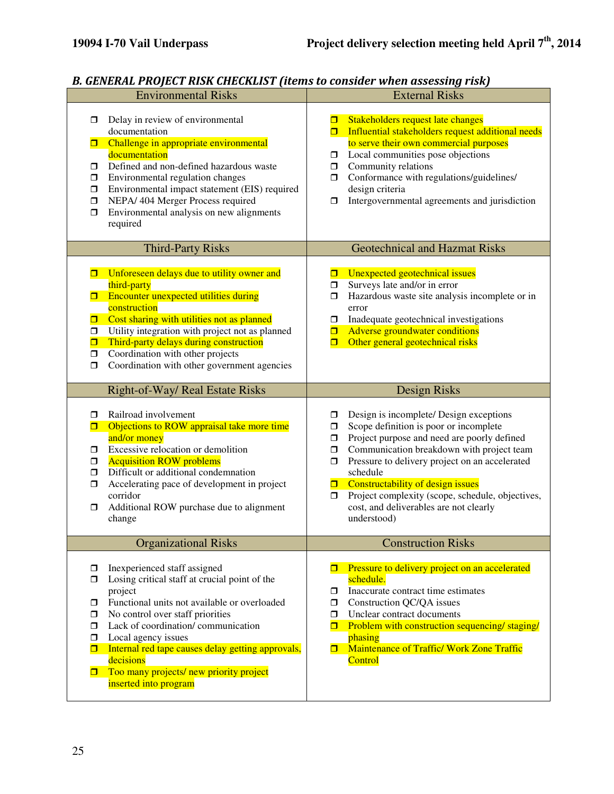#### B. GENERAL PROJECT RISK CHECKLIST (items to consider when assessing risk)

|                                                               | р. арганир таары таан сирсиргат (нетэ ю сонзшы мнен изэсээнд тэв)<br><b>Environmental Risks</b>                                                                                                                                                                                                                                                                                 |                                                      | <b>External Risks</b>                                                                                                                                                                                                                                                                                                                                                                         |
|---------------------------------------------------------------|---------------------------------------------------------------------------------------------------------------------------------------------------------------------------------------------------------------------------------------------------------------------------------------------------------------------------------------------------------------------------------|------------------------------------------------------|-----------------------------------------------------------------------------------------------------------------------------------------------------------------------------------------------------------------------------------------------------------------------------------------------------------------------------------------------------------------------------------------------|
| $\Box$<br>0<br>$\Box$<br>$\Box$<br>$\Box$<br>$\Box$<br>$\Box$ | Delay in review of environmental<br>documentation<br>Challenge in appropriate environmental<br>documentation<br>Defined and non-defined hazardous waste<br>Environmental regulation changes<br>Environmental impact statement (EIS) required<br>NEPA/ 404 Merger Process required<br>Environmental analysis on new alignments<br>required                                       | ◻<br>ο.<br>$\Box$<br>$\Box$<br>$\Box$                | Stakeholders request late changes<br><b>Influential stakeholders request additional needs</b><br>to serve their own commercial purposes<br>Local communities pose objections<br>Community relations<br>Conformance with regulations/guidelines/<br>design criteria<br>Intergovernmental agreements and jurisdiction                                                                           |
|                                                               | <b>Third-Party Risks</b>                                                                                                                                                                                                                                                                                                                                                        |                                                      | <b>Geotechnical and Hazmat Risks</b>                                                                                                                                                                                                                                                                                                                                                          |
| п<br>п.<br>$\Box$<br>$\Box$<br>σ<br>$\Box$<br>$\Box$          | Unforeseen delays due to utility owner and<br>third-party<br>Encounter unexpected utilities during<br>construction<br>Cost sharing with utilities not as planned<br>Utility integration with project not as planned<br>Third-party delays during construction<br>Coordination with other projects<br>Coordination with other government agencies                                | σ<br>0<br>$\Box$<br>σ.<br>0<br>σ                     | Unexpected geotechnical issues<br>Surveys late and/or in error<br>Hazardous waste site analysis incomplete or in<br>error<br>Inadequate geotechnical investigations<br><b>Adverse groundwater conditions</b><br>Other general geotechnical risks                                                                                                                                              |
|                                                               | Right-of-Way/ Real Estate Risks                                                                                                                                                                                                                                                                                                                                                 |                                                      | <b>Design Risks</b>                                                                                                                                                                                                                                                                                                                                                                           |
| □<br>о<br>$\Box$<br>$\Box$<br>$\Box$<br>$\Box$<br>$\Box$      | Railroad involvement<br>Objections to ROW appraisal take more time<br>and/or money<br>Excessive relocation or demolition<br><b>Acquisition ROW problems</b><br>Difficult or additional condemnation<br>Accelerating pace of development in project<br>corridor<br>Additional ROW purchase due to alignment<br>change                                                            | σ<br>$\Box$<br>ο.<br>$\Box$<br>$\Box$<br>0<br>$\Box$ | Design is incomplete/ Design exceptions<br>Scope definition is poor or incomplete<br>Project purpose and need are poorly defined<br>Communication breakdown with project team<br>Pressure to delivery project on an accelerated<br>schedule<br>Constructability of design issues<br>Project complexity (scope, schedule, objectives,<br>cost, and deliverables are not clearly<br>understood) |
|                                                               | <b>Organizational Risks</b>                                                                                                                                                                                                                                                                                                                                                     |                                                      | <b>Construction Risks</b>                                                                                                                                                                                                                                                                                                                                                                     |
| □<br>□<br>$\Box$<br>$\Box$<br>$\Box$<br>$\Box$<br>π<br>0      | Inexperienced staff assigned<br>Losing critical staff at crucial point of the<br>project<br>Functional units not available or overloaded<br>No control over staff priorities<br>Lack of coordination/communication<br>Local agency issues<br>Internal red tape causes delay getting approvals,<br>decisions<br>Too many projects/ new priority project<br>inserted into program | π.<br>$\Box$<br>$\Box$<br>$\Box$                     | <b>I</b> Pressure to delivery project on an accelerated<br>schedule.<br>Inaccurate contract time estimates<br>Construction QC/QA issues<br>Unclear contract documents<br>Problem with construction sequencing/ staging/<br>phasing<br>Maintenance of Traffic/Work Zone Traffic<br>Control                                                                                                     |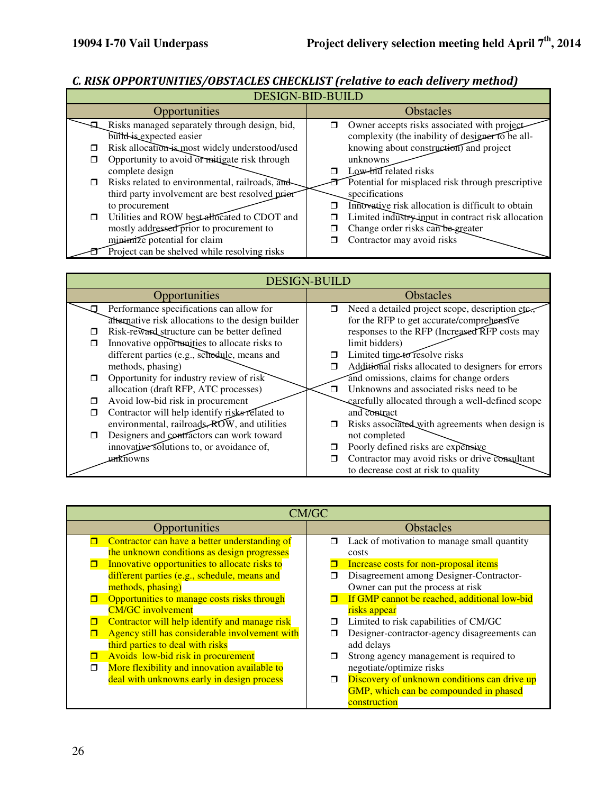# C. RISK OPPORTUNITIES/OBSTACLES CHECKLIST (relative to each delivery method)

| <b>DESIGN-BID-BUILD</b> |                                                 |   |                                                    |
|-------------------------|-------------------------------------------------|---|----------------------------------------------------|
|                         | Opportunities                                   |   | <b>Obstacles</b>                                   |
|                         | Risks managed separately through design, bid,   | ⊓ | Owner accepts risks associated with project-       |
|                         | build is expected easier                        |   | complexity (the inability of designer to be all-   |
| П                       | Risk allocation is most widely understood/used  |   | knowing about construction) and project            |
| ⊓                       | Opportunity to avoid or mitigate risk through   |   | unknowns                                           |
|                         | complete design                                 |   | Low-bid related risks                              |
| □                       | Risks related to environmental, railroads, and  |   | Potential for misplaced risk through prescriptive  |
|                         | third party involvement are best resolved prior |   | specifications                                     |
|                         | to procurement                                  |   | Innovative risk allocation is difficult to obtain  |
| ⊓                       | Utilities and ROW best allocated to CDOT and    | □ | Limited industry input in contract risk allocation |
|                         | mostly addressed prior to procurement to        |   | Change order risks can be greater                  |
|                         | minimize potential for claim                    | П | Contractor may avoid risks                         |
|                         | Project can be shelved while resolving risks    |   |                                                    |

| <b>DESIGN-BUILD</b>                                |                                                      |  |
|----------------------------------------------------|------------------------------------------------------|--|
| Opportunities                                      | <b>Obstacles</b>                                     |  |
| Performance specifications can allow for           | Need a detailed project scope, description etc.<br>Π |  |
| alternative risk allocations to the design builder | for the RFP to get accurate/comprehensive            |  |
| Risk-reward structure can be better defined        | responses to the RFP (Increased RFP costs may        |  |
| Innovative opportunities to allocate risks to      | limit bidders)                                       |  |
| different parties (e.g., schedule, means and       | Limited time to resolve risks                        |  |
| methods, phasing)                                  | Additional risks allocated to designers for errors   |  |
| Opportunity for industry review of risk            | and omissions, claims for change orders              |  |
| allocation (draft RFP, ATC processes)              | Unknowns and associated risks need to be             |  |
| Avoid low-bid risk in procurement                  | carefully allocated through a well-defined scope     |  |
| Contractor will help identify risks related to     | and contract                                         |  |
| environmental, railroads, ROW, and utilities       | Risks associated with agreements when design is      |  |
| Designers and contractors can work toward          | not completed                                        |  |
| innovative solutions to, or avoidance of,          | Poorly defined risks are expensive                   |  |
| unknowns                                           | Contractor may avoid risks or drive consultant       |  |
|                                                    | to decrease cost at risk to quality                  |  |

| CM/GC                                                                                                                                                                                                                                                                                                                                                                                                                                |                                                                                                                                                                                                                                                                                                                                                                          |  |
|--------------------------------------------------------------------------------------------------------------------------------------------------------------------------------------------------------------------------------------------------------------------------------------------------------------------------------------------------------------------------------------------------------------------------------------|--------------------------------------------------------------------------------------------------------------------------------------------------------------------------------------------------------------------------------------------------------------------------------------------------------------------------------------------------------------------------|--|
| Opportunities                                                                                                                                                                                                                                                                                                                                                                                                                        | <b>Obstacles</b>                                                                                                                                                                                                                                                                                                                                                         |  |
| Contractor can have a better understanding of<br>the unknown conditions as design progresses<br>Innovative opportunities to allocate risks to<br>different parties (e.g., schedule, means and<br>methods, phasing)<br>Opportunities to manage costs risks through<br><b>CM/GC</b> involvement<br>Contractor will help identify and manage risk<br>Agency still has considerable involvement with<br>third parties to deal with risks | Lack of motivation to manage small quantity<br>$\Box$<br>costs<br>Increase costs for non-proposal items<br>Disagreement among Designer-Contractor-<br>Owner can put the process at risk<br>If GMP cannot be reached, additional low-bid<br>risks appear<br>Limited to risk capabilities of CM/GC<br>◘<br>Designer-contractor-agency disagreements can<br>◻<br>add delays |  |
| Avoids low-bid risk in procurement<br>More flexibility and innovation available to<br>deal with unknowns early in design process                                                                                                                                                                                                                                                                                                     | Strong agency management is required to<br>◻<br>negotiate/optimize risks<br>Discovery of unknown conditions can drive up<br>□<br>GMP, which can be compounded in phased<br>construction                                                                                                                                                                                  |  |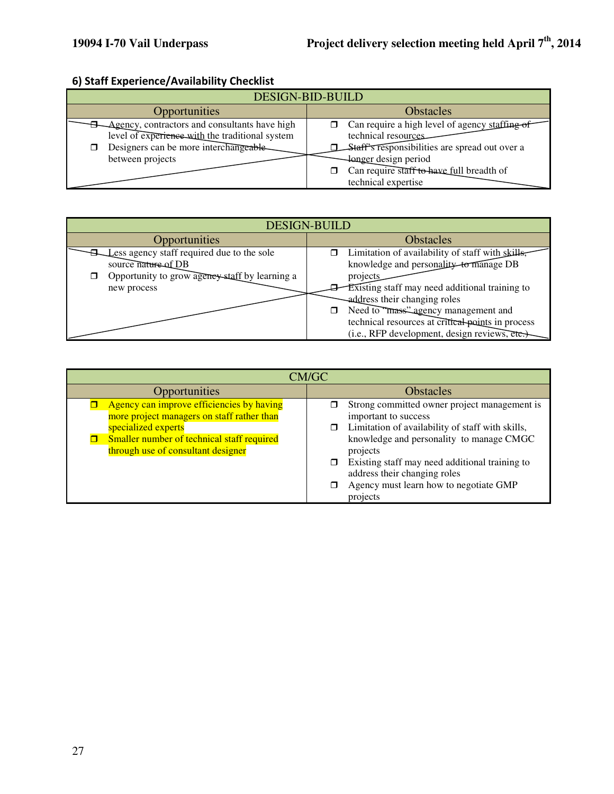# 6) Staff Experience/Availability Checklist

| DESIGN-BID-BUILD                                                                                 |                                                                                                                                              |  |
|--------------------------------------------------------------------------------------------------|----------------------------------------------------------------------------------------------------------------------------------------------|--|
| <b>Opportunities</b>                                                                             | <b>Obstacles</b>                                                                                                                             |  |
| Agency, contractors and consultants have high<br>level of experience with the traditional system | $\Box$ Can require a high level of agency staffing of<br>technical resources.                                                                |  |
| Designers can be more interchangeable<br>between projects                                        | Staff's responsibilities are spread out over a<br><b>I</b> design period<br>Can require staff to have full breadth of<br>technical expertise |  |

| <b>DESIGN-BUILD</b>                                                                                                                |                                                                                                                                                                                                                                                                                                                                          |
|------------------------------------------------------------------------------------------------------------------------------------|------------------------------------------------------------------------------------------------------------------------------------------------------------------------------------------------------------------------------------------------------------------------------------------------------------------------------------------|
| Opportunities                                                                                                                      | Obstacles                                                                                                                                                                                                                                                                                                                                |
| Less agency staff required due to the sole<br>source nature of DB<br>Opportunity to grow agency staff by learning a<br>new process | Limitation of availability of staff with skills,<br>knowledge and personality to manage DB<br>projects<br>Existing staff may need additional training to<br>address their changing roles<br>Need to "mass" agency management and<br>technical resources at critical points in process<br>$(i.e., RFP development, design reviews, etc.)$ |

| CM/GC                                                                                                                                                                                              |                                                                                                                                                                                                                                                                                                                          |
|----------------------------------------------------------------------------------------------------------------------------------------------------------------------------------------------------|--------------------------------------------------------------------------------------------------------------------------------------------------------------------------------------------------------------------------------------------------------------------------------------------------------------------------|
| Opportunities                                                                                                                                                                                      | <b>Obstacles</b>                                                                                                                                                                                                                                                                                                         |
| Agency can improve efficiencies by having<br>more project managers on staff rather than<br>specialized experts<br>Smaller number of technical staff required<br>through use of consultant designer | Strong committed owner project management is<br>important to success<br>Limitation of availability of staff with skills,<br>knowledge and personality to manage CMGC<br>projects<br>Existing staff may need additional training to<br>address their changing roles<br>Agency must learn how to negotiate GMP<br>projects |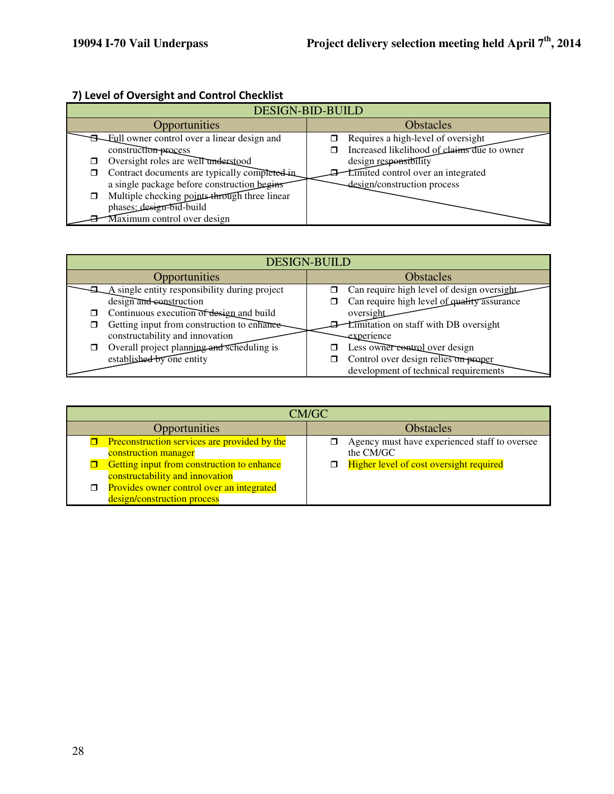# 7) Level of Oversight and Control Checklist

| DESIGN-BID-BUILD                                             |                                             |
|--------------------------------------------------------------|---------------------------------------------|
| Opportunities                                                | <b>Obstacles</b>                            |
| <b>Example 1</b> Eull owner control over a linear design and | Requires a high-level of oversight          |
| construction process                                         | Increased likelihood of claims due to owner |
| Oversight roles are well understood<br>◘                     | design responsibility                       |
| Contract documents are typically completed in<br>□           | Limited control over an integrated          |
| a single package before construction begins                  | -design/construction process                |
| Multiple checking points through three linear<br>□           |                                             |
| phases: design-bid-build                                     |                                             |
| Maximum control over design                                  |                                             |

| <b>DESIGN-BUILD</b>                                                            |                                                                               |
|--------------------------------------------------------------------------------|-------------------------------------------------------------------------------|
| Opportunities                                                                  | <b>Obstacles</b>                                                              |
| $\Box$ A single entity responsibility during project                           | Can require high level of design oversight                                    |
| design and construction                                                        | Can require high level of quality assurance                                   |
| Continuous execution of design and build                                       | oversight                                                                     |
| Getting input from construction to enhance-<br>constructability and innovation | <b>Limitation</b> on staff with DB oversight<br>experience                    |
| Overall project planning and scheduling is                                     | Less owner control over design                                                |
| established by one entity                                                      | Control over design relies on proper<br>development of technical requirements |

| CM/GC                                                                         |                                                            |
|-------------------------------------------------------------------------------|------------------------------------------------------------|
| <b>Opportunities</b>                                                          | <b>Obstacles</b>                                           |
| Preconstruction services are provided by the<br>construction manager          | Agency must have experienced staff to oversee<br>the CM/GC |
| Getting input from construction to enhance<br>constructability and innovation | Higher level of cost oversight required                    |
| Provides owner control over an integrated<br>design/construction process      |                                                            |